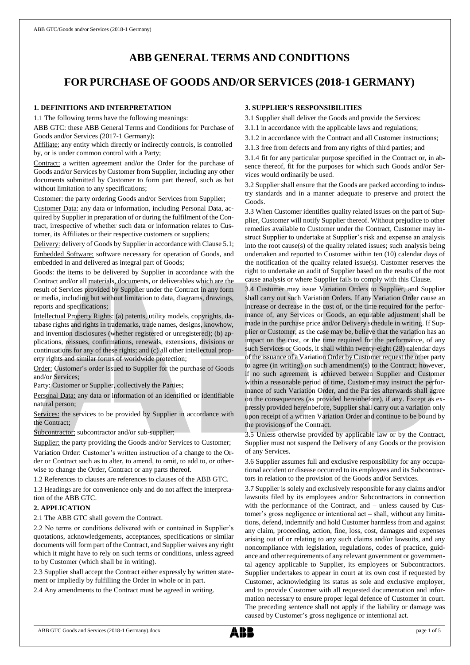# **ABB GENERAL TERMS AND CONDITIONS**

# **FOR PURCHASE OF GOODS AND/OR SERVICES (2018-1 GERMANY)**

## **1. DEFINITIONS AND INTERPRETATION**

1.1 The following terms have the following meanings:

ABB GTC: these ABB General Terms and Conditions for Purchase of Goods and/or Services (2017-1 Germany);

Affiliate: any entity which directly or indirectly controls, is controlled by, or is under common control with a Party;

Contract: a written agreement and/or the Order for the purchase of Goods and/or Services by Customer from Supplier, including any other documents submitted by Customer to form part thereof, such as but without limitation to any specifications;

Customer: the party ordering Goods and/or Services from Supplier;

Customer Data: any data or information, including Personal Data, acquired by Supplier in preparation of or during the fulfilment of the Contract, irrespective of whether such data or information relates to Customer, its Affiliates or their respective customers or suppliers;

Delivery: delivery of Goods by Supplier in accordance with Clause 5.1; Embedded Software: software necessary for operation of Goods, and embedded in and delivered as integral part of Goods;

Goods: the items to be delivered by Supplier in accordance with the Contract and/or all materials, documents, or deliverables which are the result of Services provided by Supplier under the Contract in any form or media, including but without limitation to data, diagrams, drawings, reports and specifications;

Intellectual Property Rights: (a) patents, utility models, copyrights, database rights and rights in trademarks, trade names, designs, knowhow, and invention disclosures (whether registered or unregistered); (b) applications, reissues, confirmations, renewals, extensions, divisions or continuations for any of these rights; and (c) all other intellectual property rights and similar forms of worldwide protection;

Order: Customer's order issued to Supplier for the purchase of Goods and/or Services;

Party: Customer or Supplier, collectively the Parties;

Personal Data: any data or information of an identified or identifiable natural person;

Services: the services to be provided by Supplier in accordance with the Contract;

Subcontractor: subcontractor and/or sub-supplier;

Supplier: the party providing the Goods and/or Services to Customer; Variation Order: Customer's written instruction of a change to the Order or Contract such as to alter, to amend, to omit, to add to, or otherwise to change the Order, Contract or any parts thereof.

1.2 References to clauses are references to clauses of the ABB GTC.

1.3 Headings are for convenience only and do not affect the interpretation of the ABB GTC.

### **2. APPLICATION**

2.1 The ABB GTC shall govern the Contract.

2.2 No terms or conditions delivered with or contained in Supplier's quotations, acknowledgements, acceptances, specifications or similar documents will form part of the Contract, and Supplier waives any right which it might have to rely on such terms or conditions, unless agreed to by Customer (which shall be in writing).

2.3 Supplier shall accept the Contract either expressly by written statement or impliedly by fulfilling the Order in whole or in part.

2.4 Any amendments to the Contract must be agreed in writing.

## **3. SUPPLIER'S RESPONSIBILITIES**

3.1 Supplier shall deliver the Goods and provide the Services:

3.1.1 in accordance with the applicable laws and regulations;

- 3.1.2 in accordance with the Contract and all Customer instructions;
- 3.1.3 free from defects and from any rights of third parties; and

3.1.4 fit for any particular purpose specified in the Contract or, in absence thereof, fit for the purposes for which such Goods and/or Services would ordinarily be used.

3.2 Supplier shall ensure that the Goods are packed according to industry standards and in a manner adequate to preserve and protect the Goods.

3.3 When Customer identifies quality related issues on the part of Supplier, Customer will notify Supplier thereof. Without prejudice to other remedies available to Customer under the Contract, Customer may instruct Supplier to undertake at Supplier's risk and expense an analysis into the root cause(s) of the quality related issues; such analysis being undertaken and reported to Customer within ten (10) calendar days of the notification of the quality related issue(s). Customer reserves the right to undertake an audit of Supplier based on the results of the root cause analysis or where Supplier fails to comply with this Clause.

3.4 Customer may issue Variation Orders to Supplier, and Supplier shall carry out such Variation Orders. If any Variation Order cause an increase or decrease in the cost of, or the time required for the performance of, any Services or Goods, an equitable adjustment shall be made in the purchase price and/or Delivery schedule in writing. If Supplier or Customer, as the case may be, believe that the variation has an impact on the cost, or the time required for the performance, of any such Services or Goods, it shall within twenty-eight (28) calendar days of the issuance of a Variation Order by Customer request the other party to agree (in writing) on such amendment(s) to the Contract; however, if no such agreement is achieved between Supplier and Customer within a reasonable period of time, Customer may instruct the performance of such Variation Order, and the Parties afterwards shall agree on the consequences (as provided hereinbefore), if any. Except as expressly provided hereinbefore, Supplier shall carry out a variation only upon receipt of a written Variation Order and continue to be bound by the provisions of the Contract.

3.5 Unless otherwise provided by applicable law or by the Contract, Supplier must not suspend the Delivery of any Goods or the provision of any Services.

3.6 Supplier assumes full and exclusive responsibility for any occupational accident or disease occurred to its employees and its Subcontractors in relation to the provision of the Goods and/or Services.

3.7 Supplier is solely and exclusively responsible for any claims and/or lawsuits filed by its employees and/or Subcontractors in connection with the performance of the Contract, and – unless caused by Customer's gross negligence or intentional act – shall, without any limitations, defend, indemnify and hold Customer harmless from and against any claim, proceeding, action, fine, loss, cost, damages and expenses arising out of or relating to any such claims and/or lawsuits, and any noncompliance with legislation, regulations, codes of practice, guidance and other requirements of any relevant government or governmental agency applicable to Supplier, its employees or Subcontractors. Supplier undertakes to appear in court at its own cost if requested by Customer, acknowledging its status as sole and exclusive employer, and to provide Customer with all requested documentation and information necessary to ensure proper legal defence of Customer in court. The preceding sentence shall not apply if the liability or damage was caused by Customer's gross negligence or intentional act.

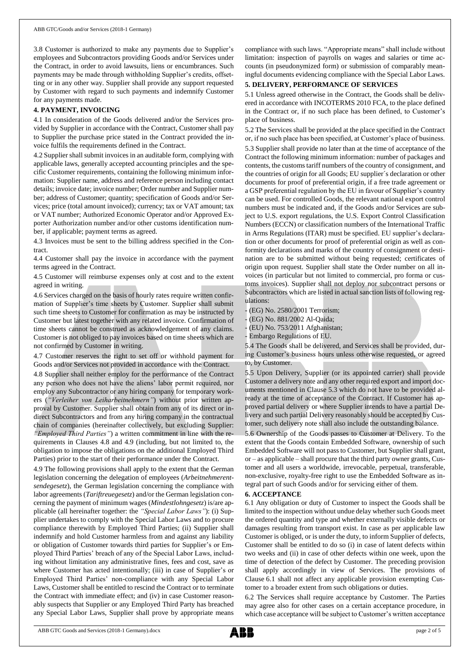3.8 Customer is authorized to make any payments due to Supplier's employees and Subcontractors providing Goods and/or Services under the Contract, in order to avoid lawsuits, liens or encumbrances. Such payments may be made through withholding Supplier's credits, offsetting or in any other way. Supplier shall provide any support requested by Customer with regard to such payments and indemnify Customer for any payments made.

## **4. PAYMENT, INVOICING**

4.1 In consideration of the Goods delivered and/or the Services provided by Supplier in accordance with the Contract, Customer shall pay to Supplier the purchase price stated in the Contract provided the invoice fulfils the requirements defined in the Contract.

4.2 Supplier shall submit invoices in an auditable form, complying with applicable laws, generally accepted accounting principles and the specific Customer requirements, containing the following minimum information: Supplier name, address and reference person including contact details; invoice date; invoice number; Order number and Supplier number; address of Customer; quantity; specification of Goods and/or Services; price (total amount invoiced); currency; tax or VAT amount; tax or VAT number; Authorized Economic Operator and/or Approved Exporter Authorization number and/or other customs identification number, if applicable; payment terms as agreed.

4.3 Invoices must be sent to the billing address specified in the Contract.

4.4 Customer shall pay the invoice in accordance with the payment terms agreed in the Contract.

4.5 Customer will reimburse expenses only at cost and to the extent agreed in writing.

4.6 Services charged on the basis of hourly rates require written confirmation of Supplier's time sheets by Customer. Supplier shall submit such time sheets to Customer for confirmation as may be instructed by Customer but latest together with any related invoice. Confirmation of time sheets cannot be construed as acknowledgement of any claims. Customer is not obliged to pay invoices based on time sheets which are not confirmed by Customer in writing.

4.7 Customer reserves the right to set off or withhold payment for Goods and/or Services not provided in accordance with the Contract.

4.8 Supplier shall neither employ for the performance of the Contract any person who does not have the aliens' labor permit required, nor employ any Subcontractor or any hiring company for temporary workers (*"Verleiher von Leiharbeitnehmern"*) without prior written approval by Customer. Supplier shall obtain from any of its direct or indirect Subcontractors and from any hiring company in the contractual chain of companies (hereinafter collectively, but excluding Supplier: *"Employed Third Parties"*) a written commitment in line with the requirements in Clauses 4.8 and 4.9 (including, but not limited to, the obligation to impose the obligations on the additional Employed Third Parties) prior to the start of their performance under the Contract.

4.9 The following provisions shall apply to the extent that the German legislation concerning the delegation of employees (*Arbeitnehmerentsendegesetz*), the German legislation concerning the compliance with labor agreements (*Tariftreuegesetz*) and/or the German legislation concerning the payment of minimum wages (*Mindestlohngesetz*) is/are applicable (all hereinafter together: the *"Special Labor Laws"*): (i) Supplier undertakes to comply with the Special Labor Laws and to procure compliance therewith by Employed Third Parties; (ii) Supplier shall indemnify and hold Customer harmless from and against any liability or obligation of Customer towards third parties for Supplier's or Employed Third Parties' breach of any of the Special Labor Laws, including without limitation any administrative fines, fees and cost, save as where Customer has acted intentionally; (iii) in case of Supplier's or Employed Third Parties' non-compliance with any Special Labor Laws, Customer shall be entitled to rescind the Contract or to terminate the Contract with immediate effect; and (iv) in case Customer reasonably suspects that Supplier or any Employed Third Party has breached any Special Labor Laws, Supplier shall prove by appropriate means

compliance with such laws. "Appropriate means" shall include without limitation: inspection of payrolls on wages and salaries or time accounts (in pseudonymized form) or submission of comparably meaningful documents evidencing compliance with the Special Labor Laws.

# **5. DELIVERY, PERFORMANCE OF SERVICES**

5.1 Unless agreed otherwise in the Contract, the Goods shall be delivered in accordance with INCOTERMS 2010 FCA, to the place defined in the Contract or, if no such place has been defined, to Customer's place of business.

5.2 The Services shall be provided at the place specified in the Contract or, if no such place has been specified, at Customer's place of business. 5.3 Supplier shall provide no later than at the time of acceptance of the Contract the following minimum information: number of packages and contents, the customs tariff numbers of the country of consignment, and the countries of origin for all Goods; EU supplier´s declaration or other documents for proof of preferential origin, if a free trade agreement or a GSP preferential regulation by the EU in favour of Supplier's country can be used. For controlled Goods, the relevant national export control numbers must be indicated and, if the Goods and/or Services are subject to U.S. export regulations, the U.S. Export Control Classification Numbers (ECCN) or classification numbers of the International Traffic in Arms Regulations (ITAR) must be specified. EU supplier's declaration or other documents for proof of preferential origin as well as conformity declarations and marks of the country of consignment or destination are to be submitted without being requested; certificates of origin upon request. Supplier shall state the Order number on all invoices (in particular but not limited to commercial, pro forma or customs invoices). Supplier shall not deploy nor subcontract persons or Subcontractors which are listed in actual sanction lists of following regulations:

(EG) No. 2580/2001 Terrorism;

(EG) No. 881/2002 Al-Qaida;

(EU) No. 753/2011 Afghanistan;

- Embargo Regulations of EU.

5.4 The Goods shall be delivered, and Services shall be provided, during Customer's business hours unless otherwise requested, or agreed to, by Customer.

5.5 Upon Delivery, Supplier (or its appointed carrier) shall provide Customer a delivery note and any other required export and import documents mentioned in Clause 5.3 which do not have to be provided already at the time of acceptance of the Contract. If Customer has approved partial delivery or where Supplier intends to have a partial Delivery and such partial Delivery reasonably should be accepted by Customer, such delivery note shall also include the outstanding balance.

5.6 Ownership of the Goods passes to Customer at Delivery. To the extent that the Goods contain Embedded Software, ownership of such Embedded Software will not passto Customer, but Supplier shall grant, or – as applicable – shall procure that the third party owner grants, Customer and all users a worldwide, irrevocable, perpetual, transferable, non-exclusive, royalty-free right to use the Embedded Software as integral part of such Goods and/or for servicing either of them.

### **6. ACCEPTANCE**

6.1 Any obligation or duty of Customer to inspect the Goods shall be limited to the inspection without undue delay whether such Goods meet the ordered quantity and type and whether externally visible defects or damages resulting from transport exist. In case as per applicable law Customer is obliged, or is under the duty, to inform Supplier of defects, Customer shall be entitled to do so (i) in case of latent defects within two weeks and (ii) in case of other defects within one week, upon the time of detection of the defect by Customer. The preceding provision shall apply accordingly in view of Services. The provisions of Clause 6.1 shall not affect any applicable provision exempting Customer to a broader extent from such obligations or duties.

6.2 The Services shall require acceptance by Customer. The Parties may agree also for other cases on a certain acceptance procedure, in which case acceptance will be subject to Customer's written acceptance

ABB GTC Goods and Services (2018-1 Germany).docx page 2 of 5

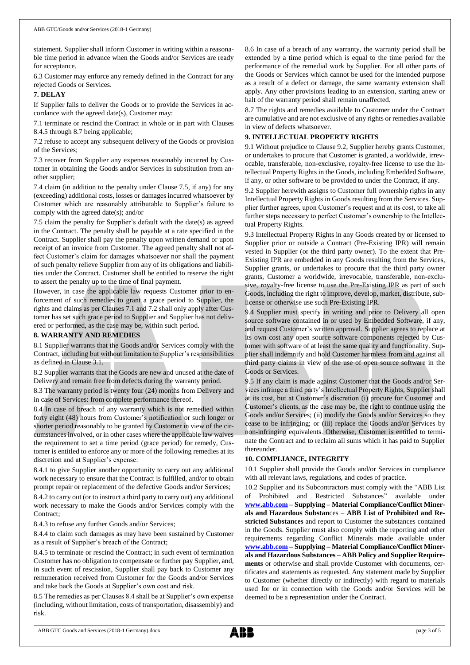statement. Supplier shall inform Customer in writing within a reasonable time period in advance when the Goods and/or Services are ready for acceptance.

6.3 Customer may enforce any remedy defined in the Contract for any rejected Goods or Services.

#### **7. DELAY**

If Supplier fails to deliver the Goods or to provide the Services in accordance with the agreed date(s), Customer may:

7.1 terminate or rescind the Contract in whole or in part with Clauses 8.4.5 through 8.7 being applicable;

7.2 refuse to accept any subsequent delivery of the Goods or provision of the Services;

7.3 recover from Supplier any expenses reasonably incurred by Customer in obtaining the Goods and/or Services in substitution from another supplier;

7.4 claim (in addition to the penalty under Clause 7.5, if any) for any (exceeding) additional costs, losses or damages incurred whatsoever by Customer which are reasonably attributable to Supplier's failure to comply with the agreed date(s); and/or

7.5 claim the penalty for Supplier's default with the date(s) as agreed in the Contract. The penalty shall be payable at a rate specified in the Contract. Supplier shall pay the penalty upon written demand or upon receipt of an invoice from Customer. The agreed penalty shall not affect Customer's claim for damages whatsoever nor shall the payment of such penalty relieve Supplier from any of its obligations and liabilities under the Contract. Customer shall be entitled to reserve the right to assert the penalty up to the time of final payment.

However, in case the applicable law requests Customer prior to enforcement of such remedies to grant a grace period to Supplier, the rights and claims as per Clauses 7.1 and 7.2 shall only apply after Customer has set such grace period to Supplier and Supplier has not delivered or performed, as the case may be, within such period.

#### **8. WARRANTY AND REMEDIES**

8.1 Supplier warrants that the Goods and/or Services comply with the Contract, including but without limitation to Supplier's responsibilities as defined in Clause 3.1.

8.2 Supplier warrants that the Goods are new and unused at the date of Delivery and remain free from defects during the warranty period.

8.3 The warranty period is twenty four (24) months from Delivery and in case of Services: from complete performance thereof.

8.4 In case of breach of any warranty which is not remedied within forty eight (48) hours from Customer's notification or such longer or shorter period reasonably to be granted by Customer in view of the circumstances involved, or in other cases where the applicable law waives the requirement to set a time period (grace period) for remedy, Customer is entitled to enforce any or more of the following remedies at its discretion and at Supplier's expense:

8.4.1 to give Supplier another opportunity to carry out any additional work necessary to ensure that the Contract is fulfilled, and/or to obtain prompt repair or replacement of the defective Goods and/or Services;

8.4.2 to carry out (or to instruct a third party to carry out) any additional work necessary to make the Goods and/or Services comply with the Contract;

8.4.3 to refuse any further Goods and/or Services;

8.4.4 to claim such damages as may have been sustained by Customer as a result of Supplier's breach of the Contract;

8.4.5 to terminate or rescind the Contract; in such event of termination Customer has no obligation to compensate or further pay Supplier, and, in such event of rescission, Supplier shall pay back to Customer any remuneration received from Customer for the Goods and/or Services and take back the Goods at Supplier's own cost and risk.

8.5 The remedies as per Clauses 8.4 shall be at Supplier's own expense (including, without limitation, costs of transportation, disassembly) and risk.

8.6 In case of a breach of any warranty, the warranty period shall be extended by a time period which is equal to the time period for the performance of the remedial work by Supplier. For all other parts of the Goods or Services which cannot be used for the intended purpose as a result of a defect or damage, the same warranty extension shall apply. Any other provisions leading to an extension, starting anew or halt of the warranty period shall remain unaffected.

8.7 The rights and remedies available to Customer under the Contract are cumulative and are not exclusive of any rights or remedies available in view of defects whatsoever.

#### **9. INTELLECTUAL PROPERTY RIGHTS**

9.1 Without prejudice to Clause 9.2, Supplier hereby grants Customer, or undertakes to procure that Customer is granted, a worldwide, irrevocable, transferable, non-exclusive, royalty-free license to use the Intellectual Property Rights in the Goods, including Embedded Software, if any, or other software to be provided to under the Contract, if any.

9.2 Supplier herewith assigns to Customer full ownership rights in any Intellectual Property Rights in Goods resulting from the Services. Supplier further agrees, upon Customer's request and at its cost, to take all further steps necessary to perfect Customer's ownership to the Intellectual Property Rights.

9.3 Intellectual Property Rights in any Goods created by or licensed to Supplier prior or outside a Contract (Pre-Existing IPR) will remain vested in Supplier (or the third party owner). To the extent that Pre-Existing IPR are embedded in any Goods resulting from the Services, Supplier grants, or undertakes to procure that the third party owner grants, Customer a worldwide, irrevocable, transferable, non-exclusive, royalty-free license to use the Pre-Existing IPR as part of such Goods, including the right to improve, develop, market, distribute, sublicense or otherwise use such Pre-Existing IPR.

9.4 Supplier must specify in writing and prior to Delivery all open source software contained in or used by Embedded Software, if any, and request Customer's written approval. Supplier agrees to replace at its own cost any open source software components rejected by Customer with software of at least the same quality and functionality. Supplier shall indemnify and hold Customer harmless from and against all third party claims in view of the use of open source software in the Goods or Services.

9.5 If any claim is made against Customer that the Goods and/or Services infringe a third party's Intellectual Property Rights, Supplier shall at its cost, but at Customer's discretion (i) procure for Customer and Customer's clients, as the case may be, the right to continue using the Goods and/or Services; (ii) modify the Goods and/or Services so they cease to be infringing; or (iii) replace the Goods and/or Services by non-infringing equivalents. Otherwise, Customer is entitled to terminate the Contract and to reclaim all sums which it has paid to Supplier thereunder.

### **10. COMPLIANCE, INTEGRITY**

10.1 Supplier shall provide the Goods and/or Services in compliance with all relevant laws, regulations, and codes of practice.

10.2 Supplier and its Subcontractors must comply with the "ABB List of Prohibited and Restricted Substances" available under **[www.abb.com](http://www.abb.com/) – Supplying – Material Compliance/Conflict Minerals and Hazardous Substan**ces – **[ABB List of Prohibited and Re](http://search.abb.com/library/Download.aspx?DocumentID=9AKK105713A6396&LanguageCode=en&DocumentPartId=&Action=Launch)[stricted Substances](http://search.abb.com/library/Download.aspx?DocumentID=9AKK105713A6396&LanguageCode=en&DocumentPartId=&Action=Launch)** and report to Customer the substances contained in the Goods. Supplier must also comply with the reporting and other requirements regarding Conflict Minerals made available under **[www.abb.com](http://www.abb.com/) – Supplying – Material Compliance/Conflict Minerals and Hazardous Substances – ABB Policy and Supplier Requirements** or otherwise and shall provide Customer with documents, certificates and statements as requested. Any statement made by Supplier to Customer (whether directly or indirectly) with regard to materials used for or in connection with the Goods and/or Services will be deemed to be a representation under the Contract.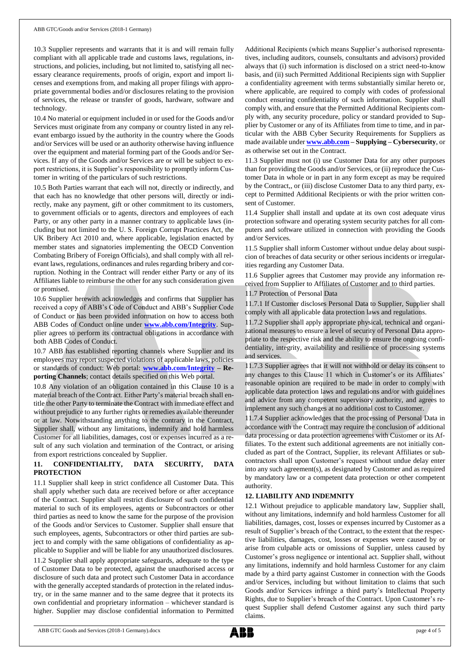10.3 Supplier represents and warrants that it is and will remain fully compliant with all applicable trade and customs laws, regulations, instructions, and policies, including, but not limited to, satisfying all necessary clearance requirements, proofs of origin, export and import licenses and exemptions from, and making all proper filings with appropriate governmental bodies and/or disclosures relating to the provision of services, the release or transfer of goods, hardware, software and technology.

10.4 No material or equipment included in or used for the Goods and/or Services must originate from any company or country listed in any relevant embargo issued by the authority in the country where the Goods and/or Services will be used or an authority otherwise having influence over the equipment and material forming part of the Goods and/or Services. If any of the Goods and/or Services are or will be subject to export restrictions, it is Supplier's responsibility to promptly inform Customer in writing of the particulars of such restrictions.

10.5 Both Parties warrant that each will not, directly or indirectly, and that each has no knowledge that other persons will, directly or indirectly, make any payment, gift or other commitment to its customers, to government officials or to agents, directors and employees of each Party, or any other party in a manner contrary to applicable laws (including but not limited to the U. S. Foreign Corrupt Practices Act, the UK Bribery Act 2010 and, where applicable, legislation enacted by member states and signatories implementing the OECD Convention Combating Bribery of Foreign Officials), and shall comply with all relevant laws, regulations, ordinances and rules regarding bribery and corruption. Nothing in the Contract will render either Party or any of its Affiliates liable to reimburse the other for any such consideration given or promised.

10.6 Supplier herewith acknowledges and confirms that Supplier has received a copy of ABB's Code of Conduct and ABB's Supplier Code of Conduct or has been provided information on how to access both ABB Codes of Conduct online under **[www.abb.com/Integrity](http://www.abb.com/Integrity)**. Supplier agrees to perform its contractual obligations in accordance with both ABB Codes of Conduct.

10.7 ABB has established reporting channels where Supplier and its employees may report suspected violations of applicable laws, policies or standards of conduct: Web portal: **[www.abb.com/Integrity](http://www.abb.com/Integrity) – Reporting Channels**; contact details specified on this Web portal.

10.8 Any violation of an obligation contained in this Clause 10 is a material breach of the Contract. Either Party's material breach shall entitle the other Party to terminate the Contract with immediate effect and without prejudice to any further rights or remedies available thereunder or at law. Notwithstanding anything to the contrary in the Contract, Supplier shall, without any limitations, indemnify and hold harmless Customer for all liabilities, damages, cost or expenses incurred as a result of any such violation and termination of the Contract, or arising from export restrictions concealed by Supplier.

# **11. CONFIDENTIALITY, DATA SECURITY, DATA PROTECTION**

11.1 Supplier shall keep in strict confidence all Customer Data. This shall apply whether such data are received before or after acceptance of the Contract. Supplier shall restrict disclosure of such confidential material to such of its employees, agents or Subcontractors or other third parties as need to know the same for the purpose of the provision of the Goods and/or Services to Customer. Supplier shall ensure that such employees, agents, Subcontractors or other third parties are subject to and comply with the same obligations of confidentiality as applicable to Supplier and will be liable for any unauthorized disclosures. 11.2 Supplier shall apply appropriate safeguards, adequate to the type of Customer Data to be protected, against the unauthorised access or disclosure of such data and protect such Customer Data in accordance with the generally accepted standards of protection in the related industry, or in the same manner and to the same degree that it protects its own confidential and proprietary information – whichever standard is higher. Supplier may disclose confidential information to Permitted

Additional Recipients (which means Supplier's authorised representatives, including auditors, counsels, consultants and advisors) provided always that (i) such information is disclosed on a strict need-to-know basis, and (ii) such Permitted Additional Recipients sign with Supplier a confidentiality agreement with terms substantially similar hereto or, where applicable, are required to comply with codes of professional conduct ensuring confidentiality of such information. Supplier shall comply with, and ensure that the Permitted Additional Recipients comply with, any security procedure, policy or standard provided to Supplier by Customer or any of its Affiliates from time to time, and in particular with the ABB Cyber Security Requirements for Suppliers as made available under **[www.abb.com](http://www.abb.com/) – Supplying – Cybersecurity**, or as otherwise set out in the Contract.

11.3 Supplier must not (i) use Customer Data for any other purposes than for providing the Goods and/or Services, or (ii) reproduce the Customer Data in whole or in part in any form except as may be required by the Contract,, or (iii) disclose Customer Data to any third party, except to Permitted Additional Recipients or with the prior written consent of Customer.

11.4 Supplier shall install and update at its own cost adequate virus protection software and operating system security patches for all computers and software utilized in connection with providing the Goods and/or Services.

11.5 Supplier shall inform Customer without undue delay about suspicion of breaches of data security or other serious incidents or irregularities regarding any Customer Data.

11.6 Supplier agrees that Customer may provide any information received from Supplier to Affiliates of Customer and to third parties.

11.7 Protection of Personal Data

11.7.1 If Customer discloses Personal Data to Supplier, Supplier shall comply with all applicable data protection laws and regulations.

11.7.2 Supplier shall apply appropriate physical, technical and organizational measures to ensure a level of security of Personal Data appropriate to the respective risk and the ability to ensure the ongoing confidentiality, integrity, availability and resilience of processing systems and services.

11.7.3 Supplier agrees that it will not withhold or delay its consent to any changes to this Clause 11 which in Customer's or its Affiliates' reasonable opinion are required to be made in order to comply with applicable data protection laws and regulations and/or with guidelines and advice from any competent supervisory authority, and agrees to implement any such changes at no additional cost to Customer.

11.7.4 Supplier acknowledges that the processing of Personal Data in accordance with the Contract may require the conclusion of additional data processing or data protection agreements with Customer or its Affiliates. To the extent such additional agreements are not initially concluded as part of the Contract, Supplier, its relevant Affiliates or subcontractors shall upon Customer's request without undue delay enter into any such agreement(s), as designated by Customer and as required by mandatory law or a competent data protection or other competent authority.

# **12. LIABILITY AND INDEMNITY**

12.1 Without prejudice to applicable mandatory law, Supplier shall, without any limitations, indemnify and hold harmless Customer for all liabilities, damages, cost, losses or expenses incurred by Customer as a result of Supplier's breach of the Contract, to the extent that the respective liabilities, damages, cost, losses or expenses were caused by or arise from culpable acts or omissions of Supplier, unless caused by Customer's gross negligence or intentional act. Supplier shall, without any limitations, indemnify and hold harmless Customer for any claim made by a third party against Customer in connection with the Goods and/or Services, including but without limitation to claims that such Goods and/or Services infringe a third party's Intellectual Property Rights, due to Supplier's breach of the Contract. Upon Customer's request Supplier shall defend Customer against any such third party claims.

ABB GTC Goods and Services (2018-1 Germany).docx page 4 of 5